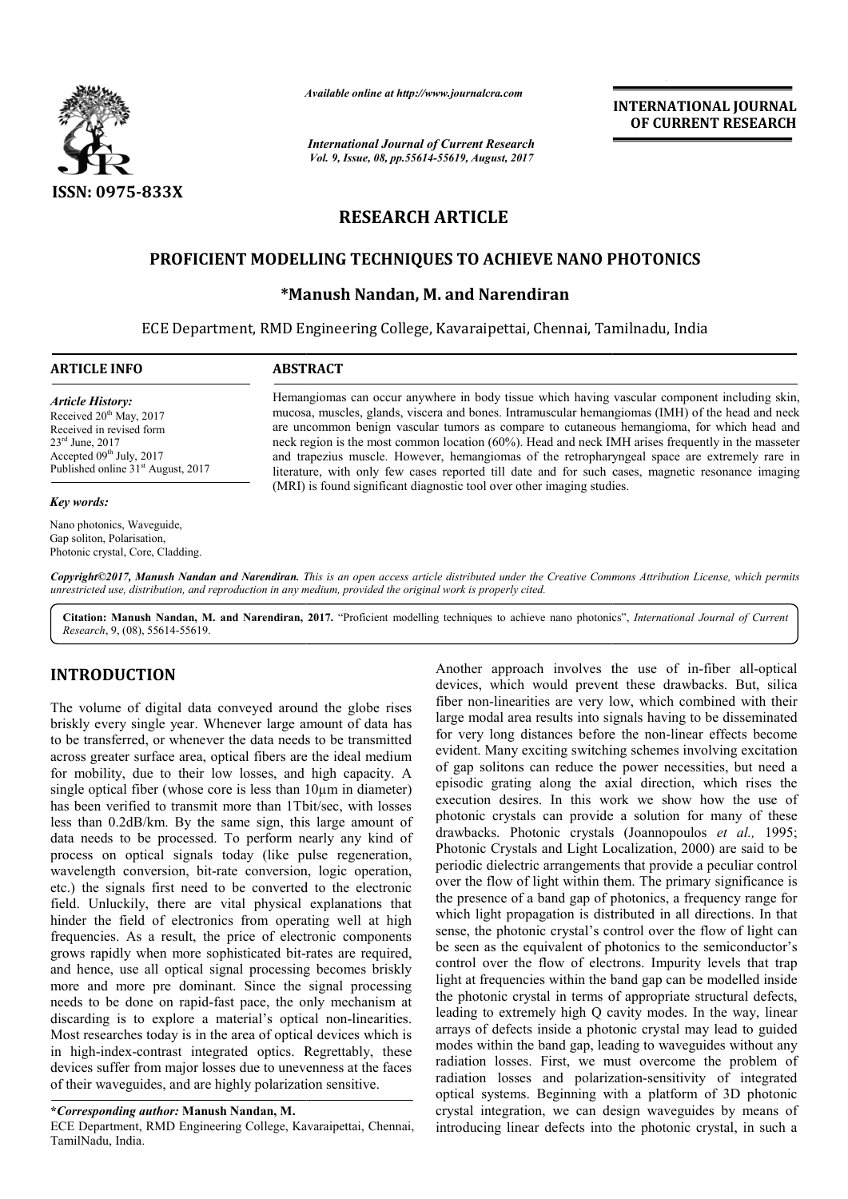

*Available online at http://www.journal http://www.journalcra.com*

*International Journal of Current Research Vol. 9, Issue, 08, pp.55614-55619, August, 2017* **INTERNATIONAL JOURNAL OF CURRENT RESEARCH** 

# **RESEARCH ARTICLE**

# **PROFICIENT MODELLING TECHNIQUES TO ACHIEVE NANO PHOTONICS**

# **\*Manush Nandan Manush Nandan, M. and Narendiran**

ECE Department, RMD Engineering College, Kavaraipettai, Chennai, Tamilnadu Tamilnadu, India

# **ARTICLE INFO ABSTRACT**

*Article History:* Received 20<sup>th</sup> May, 2017 Received in revised form 23rd June, 2017 Accepted 09<sup>th</sup> July, 2017 Published online 31<sup>st</sup> August, 2017

### *Key words:*

Nano photonics, Waveguide, Gap soliton, Polarisation, Photonic crystal, Core, Cladding. Hemangiomas can occur anywhere in body tissue which having vascular component including skin, mucosa, muscles, glands, viscera and bones. Intramuscular hemangiomas (IMH) of the head and neck are uncommon benign vascular tumors as compare to cutaneous hemangioma, for which head and neck region is the most common location (60%). Head and neck IMH arises frequently in the masseter and trapezius muscle. However, hemangiomas of the retropharyngeal space are extremely rare in literature, with only few cases reported till date and for such cases, magnetic resonance imaging (MRI) is found significant diagnostic tool over other imaging studies. Hemangiomas can occur anywhere in body tissue which having vascular component including skin, mucosa, muscles, glands, viscera and bones. Intramuscular hemangiomas (IMH) of the head and neck are uncommon benign vascular tu

*Copyright©2017, Manush Nandan and Narendiran. This is an open access article distributed under the Creative Commons Att Commons Attribution License, which permits unrestricted use, distribution, and reproduction in any medium, provided the original work is properly cited.*

Citation: Manush Nandan, M. and Narendiran, 2017. "Proficient modelling techniques to achieve nano photonics", *International Journal of Current Research*, 9, (08), 55614-55619.

# **INTRODUCTION**

The volume of digital data conveyed around the globe rises briskly every single year. Whenever large amount of data has to be transferred, or whenever the data needs to be transmitted across greater surface area, optical fibers are the ideal medium for mobility, due to their low losses, and high capacity. A single optical fiber (whose core is less than 10 $\mu$ m in diameter) has been verified to transmit more than 1Tbit/sec, with losses less than 0.2dB/km. By the same sign, this large amount of data needs to be processed. To perform nearly any kind of process on optical signals today (like pulse regeneration, wavelength conversion, bit-rate conversion, logic operation, etc.) the signals first need to be converted to the electronic field. Unluckily, there are vital physical explanations that hinder the field of electronics from operating well at high frequencies. As a result, the price of electronic components grows rapidly when more sophisticated bit-rates are required, and hence, use all optical signal processing becomes briskly more and more pre dominant. Since the signal processing needs to be done on rapid-fast pace, the only mechanism at needs to be done on rapid-fast pace, the only mechanism at discarding is to explore a material's optical non-linearities. Most researches today is in the area of optical devices which is in high-index-contrast integrated optics. Regrettably, these devices suffer from major losses due to unevenness at the faces of their waveguides, and are highly polarization sensitive. ility, due to their low losses, and high<br>bitical fiber (whose core is less than 10µm<br>i verified to transmit more than 1Tbit/see<br>1 0.2dB/km. By the same sign, this larg<br>ds to be processed. To perform nearly<br>on optical signa

# **\****Corresponding author:* **Manush Nandan, M.**

ECE Department, RMD Engineering College, Kavaraipettai, Chennai, TamilNadu, India.

**TION**<br> **EXECUS** Another approach involves the use of indeptating the daread the globe rises which would prevert these draw<br>
ingle year. Whenever large amount of data has<br>
infor the function ingle year. Whenever the data devices, which would prevent these drawbacks. But, silica fiber non-linearities are very low, which combined with their large modal area results into signals having to be disseminated fiber non-linearities are very low, which combined with their large modal area results into signals having to be disseminated for very long distances before the non-linear effects become evident. Many exciting switching schemes involving excitation of gap solitons can reduce the power necessities, but need a episodic grating along the axial direction, which rises the execution desires. In this work we show how the use of photonic crystals can provide a solution for many of these evident. Many exciting switching schemes involving excitation<br>of gap solitons can reduce the power necessities, but need a<br>episodic grating along the axial direction, which rises the<br>execution desires. In this work we show Photonic Crystals and Light Localization, 2000) are said to be periodic dielectric arrangements that provide a peculiar control over the flow of light within them. The primary significance is the presence of a band gap of photonics, a frequency range for which light propagation is distributed in all directions. In that sense, the photonic crystal's control over the flow of light can be seen as the equivalent of photonics to the semiconductor's control over the flow of electrons. Impurity levels that trap sense, the photonic crystal's control over the flow of light can<br>be seen as the equivalent of photonics to the semiconductor's<br>control over the flow of electrons. Impurity levels that trap<br>light at frequencies within the b the photonic crystal in terms of appropriate structural defects, the photonic crystal in terms of appropriate structural defects, leading to extremely high Q cavity modes. In the way, linear arrays of defects inside a photonic crystal may lead to guided arrays of defects inside a photonic crystal may lead to guided modes within the band gap, leading to waveguides without any radiation losses. First, we must overcome the problem of radiation losses and polarization-sensitivity of integrated optical systems. Beginning with a platform of 3D photonic crystal integration, we can design waveguides by means of introducing linear defects into the photonic crystal, in such a Another approach involves the use of in-fiber all-optical dielectric arrangements that provide a peculiar control<br>flow of light within them. The primary significance is<br>nce of a band gap of photonics, a frequency range for<br>ght propagation is distributed in all directions. In that **INTERNATTONAL JOUENAL CONTRAIN (THE ALL TOT CONTRAINT AND THE CONTRAINT AND ONE CONTREMENT RESERVANCE THE CONTRAINT AND ONE CONTREMENT AND AND CONTRAINT RESERVANCE THE CONTRAINT AND A CONTRAINT RESERVANCE CONTRAINT AND A**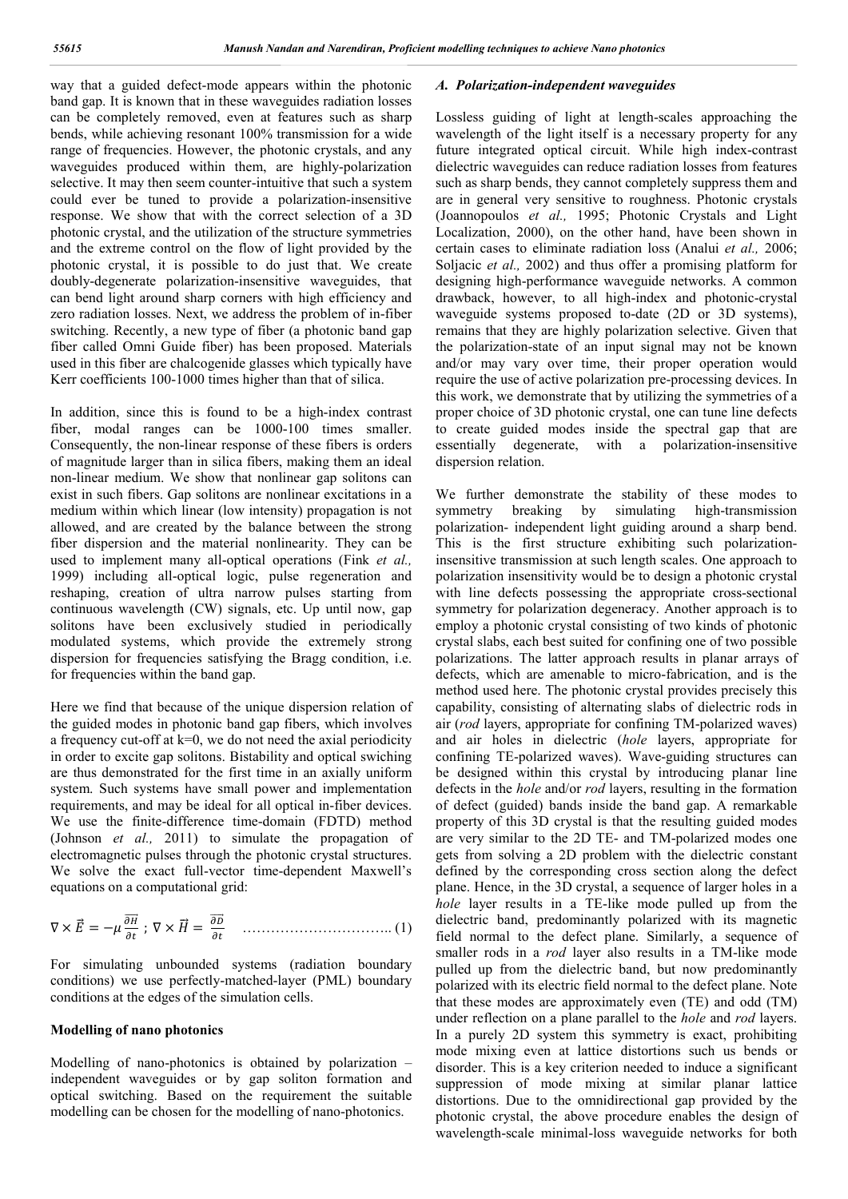way that a guided defect-mode appears within the photonic band gap. It is known that in these waveguides radiation losses can be completely removed, even at features such as sharp bends, while achieving resonant 100% transmission for a wide range of frequencies. However, the photonic crystals, and any waveguides produced within them, are highly-polarization selective. It may then seem counter-intuitive that such a system could ever be tuned to provide a polarization-insensitive response. We show that with the correct selection of a 3D photonic crystal, and the utilization of the structure symmetries and the extreme control on the flow of light provided by the photonic crystal, it is possible to do just that. We create doubly-degenerate polarization-insensitive waveguides, that can bend light around sharp corners with high efficiency and zero radiation losses. Next, we address the problem of in-fiber switching. Recently, a new type of fiber (a photonic band gap fiber called Omni Guide fiber) has been proposed. Materials used in this fiber are chalcogenide glasses which typically have Kerr coefficients 100-1000 times higher than that of silica.

In addition, since this is found to be a high-index contrast fiber, modal ranges can be 1000-100 times smaller. Consequently, the non-linear response of these fibers is orders of magnitude larger than in silica fibers, making them an ideal non-linear medium. We show that nonlinear gap solitons can exist in such fibers. Gap solitons are nonlinear excitations in a medium within which linear (low intensity) propagation is not allowed, and are created by the balance between the strong fiber dispersion and the material nonlinearity. They can be used to implement many all-optical operations (Fink *et al.,*  1999) including all-optical logic, pulse regeneration and reshaping, creation of ultra narrow pulses starting from continuous wavelength (CW) signals, etc. Up until now, gap solitons have been exclusively studied in periodically modulated systems, which provide the extremely strong dispersion for frequencies satisfying the Bragg condition, i.e. for frequencies within the band gap.

Here we find that because of the unique dispersion relation of the guided modes in photonic band gap fibers, which involves a frequency cut-off at  $k=0$ , we do not need the axial periodicity in order to excite gap solitons. Bistability and optical swiching are thus demonstrated for the first time in an axially uniform system. Such systems have small power and implementation requirements, and may be ideal for all optical in-fiber devices. We use the finite-difference time-domain (FDTD) method (Johnson *et al.,* 2011) to simulate the propagation of electromagnetic pulses through the photonic crystal structures. We solve the exact full-vector time-dependent Maxwell's equations on a computational grid:

∇ × ⃗ = − ⃗ ; <sup>∇</sup> <sup>×</sup> ⃗ <sup>=</sup> ⃗ ………………………….. (1)

For simulating unbounded systems (radiation boundary conditions) we use perfectly-matched-layer (PML) boundary conditions at the edges of the simulation cells.

### **Modelling of nano photonics**

Modelling of nano-photonics is obtained by polarization – independent waveguides or by gap soliton formation and optical switching. Based on the requirement the suitable modelling can be chosen for the modelling of nano-photonics.

## *A. Polarization-independent waveguides*

Lossless guiding of light at length-scales approaching the wavelength of the light itself is a necessary property for any future integrated optical circuit. While high index-contrast dielectric waveguides can reduce radiation losses from features such as sharp bends, they cannot completely suppress them and are in general very sensitive to roughness. Photonic crystals (Joannopoulos *et al.,* 1995; Photonic Crystals and Light Localization, 2000), on the other hand, have been shown in certain cases to eliminate radiation loss (Analui *et al.,* 2006; Soljacic *et al.,* 2002) and thus offer a promising platform for designing high-performance waveguide networks. A common drawback, however, to all high-index and photonic-crystal waveguide systems proposed to-date (2D or 3D systems), remains that they are highly polarization selective. Given that the polarization-state of an input signal may not be known and/or may vary over time, their proper operation would require the use of active polarization pre-processing devices. In this work, we demonstrate that by utilizing the symmetries of a proper choice of 3D photonic crystal, one can tune line defects to create guided modes inside the spectral gap that are essentially degenerate, with a polarization-insensitive dispersion relation.

We further demonstrate the stability of these modes to symmetry breaking by simulating high-transmission polarization- independent light guiding around a sharp bend. This is the first structure exhibiting such polarizationinsensitive transmission at such length scales. One approach to polarization insensitivity would be to design a photonic crystal with line defects possessing the appropriate cross-sectional symmetry for polarization degeneracy. Another approach is to employ a photonic crystal consisting of two kinds of photonic crystal slabs, each best suited for confining one of two possible polarizations. The latter approach results in planar arrays of defects, which are amenable to micro-fabrication, and is the method used here. The photonic crystal provides precisely this capability, consisting of alternating slabs of dielectric rods in air (*rod* layers, appropriate for confining TM-polarized waves) and air holes in dielectric (*hole* layers, appropriate for confining TE-polarized waves). Wave-guiding structures can be designed within this crystal by introducing planar line defects in the *hole* and/or *rod* layers, resulting in the formation of defect (guided) bands inside the band gap. A remarkable property of this 3D crystal is that the resulting guided modes are very similar to the 2D TE- and TM-polarized modes one gets from solving a 2D problem with the dielectric constant defined by the corresponding cross section along the defect plane. Hence, in the 3D crystal, a sequence of larger holes in a *hole* layer results in a TE-like mode pulled up from the dielectric band, predominantly polarized with its magnetic field normal to the defect plane. Similarly, a sequence of smaller rods in a *rod* layer also results in a TM-like mode pulled up from the dielectric band, but now predominantly polarized with its electric field normal to the defect plane. Note that these modes are approximately even (TE) and odd (TM) under reflection on a plane parallel to the *hole* and *rod* layers. In a purely 2D system this symmetry is exact, prohibiting mode mixing even at lattice distortions such us bends or disorder. This is a key criterion needed to induce a significant suppression of mode mixing at similar planar lattice distortions. Due to the omnidirectional gap provided by the photonic crystal, the above procedure enables the design of wavelength-scale minimal-loss waveguide networks for both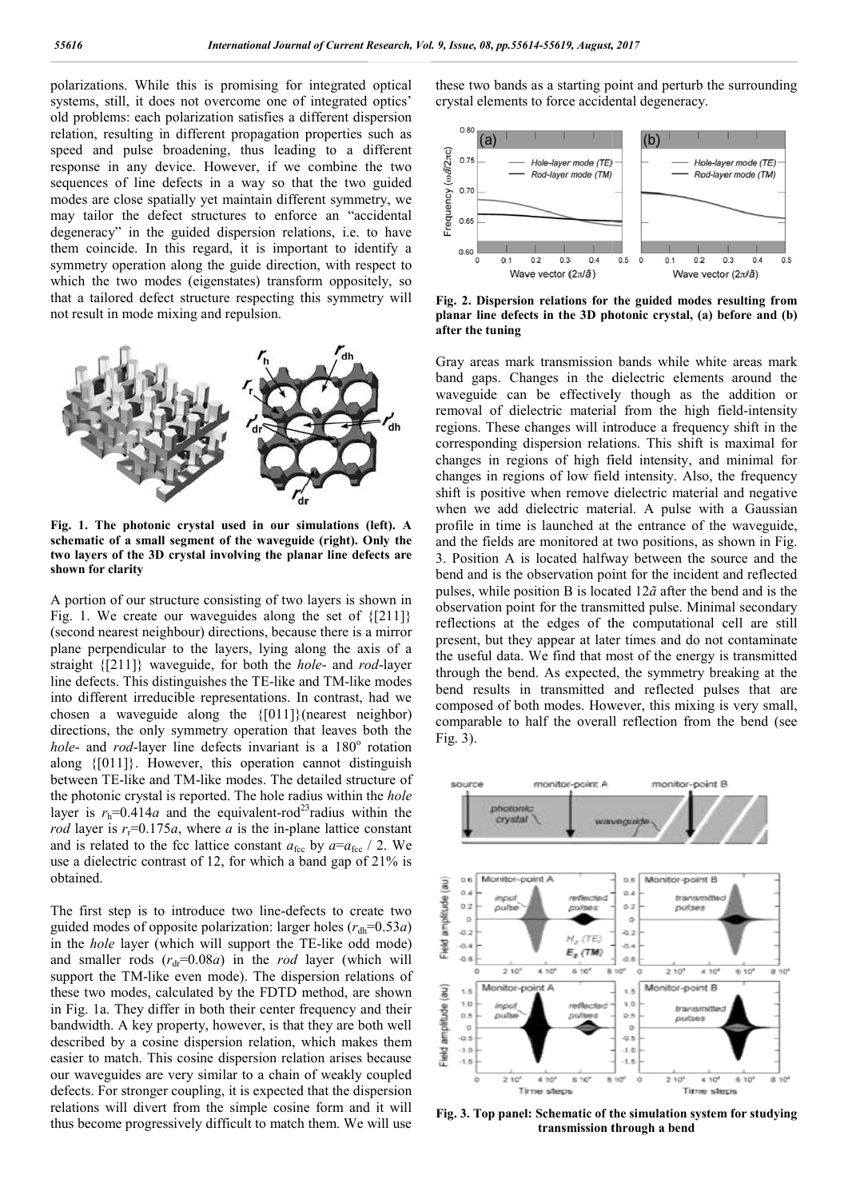polarizations. While this is promising for integrated optical systems, still, it does not overcome one of integrated optics' old problems: each polarization satisfies a different dispersion relation, resulting in different propagation properties such as speed and pulse broadening, thus leading to a different response in any device. However, if we combine the two sequences of line defects in a way so that the two guided modes are close spatially yet maintain different symmetry, we may tailor the defect structures to enforce an "accidental degeneracy" in the guided dispersion relations, i.e. to have them coincide. In this regard, it is important to identify a symmetry operation along the guide direction, with respect to which the two modes (eigenstates) transform oppositely, so that a tailored defect structure respecting this symmetry will not result in mode mixing and repulsion.



**Fig. 1. The photonic crystal used in our simulations (left). A schematic of a small segment of the waveguide (right). Only the two layers of the 3D crystal involving the planar line defects are shown for clarity**

A portion of our structure consisting of two layers is shown in Fig. 1. We create our waveguides along the set of  $\{[211]\}$ (second nearest neighbour) directions, because there is a mirror plane perpendicular to the layers, lying along the axis of a straight {[211]} waveguide, for both the *hole*- and *rod*-layer line defects. This distinguishes the TE-like and TM-like modes into different irreducible representations. In contrast, had we chosen a waveguide along the {[011]}(nearest neighbor) directions, the only symmetry operation that leaves both the *hole*- and *rod*-layer line defects invariant is a 180<sup>°</sup> rotation along {[011]}. However, this operation cannot distinguish between TE-like and TM-like modes. The detailed structure of the photonic crystal is reported. The hole radius within the *hole* layer is  $r_h = 0.414a$  and the equivalent-rod<sup>23</sup> radius within the *rod* layer is  $r_r=0.175a$ , where *a* is the in-plane lattice constant *rod* layer is  $r_r=0.175a$ , where *a* is the in-plane lattice constant and is related to the fcc lattice constant  $a_{\text{fcc}}$  by  $a=a_{\text{fcc}}/2$ . We use a dielectric contrast of 12, for which a band gap of 21% is obtained. eguide along the  $\{[011]\}$ (nearest neighbor)<br>only symmetry operation that leaves both the<br>layer line defects invariant is a  $180^\circ$  rotation

The first step is to introduce two line-defects to create two The first step is to introduce two line-defects to create two guided modes of opposite polarization: larger holes  $(r_{\text{dh}}=0.53a)$ in the *hole* layer (which will support the TE-like odd mode) and smaller rods  $(r<sub>dr</sub>=0.08a)$  in the *rod* layer (which will support the TM-like even mode). The dispersion relations of these two modes, calculated by the FDTD method, are shown in Fig. 1a. They differ in both their center frequency and their bandwidth. A key property, however, is that they are both well described by a cosine dispersion relation, which makes them easier to match. This cosine dispersion relation arises because our waveguides are very similar to a chain of weakly coupled defects. For stronger coupling, it is expected that the dispersion relations will divert from the simple cosine form and it will thus become progressively difficult to match them. We will use

crystal elements to force accidental degeneracy. these two bands as a starting point and perturb the surrounding



Fig. 2. Dispersion relations for the guided modes resulting from planar line defects in the 3D photonic crystal, (a) before and (b) **planar line defects in the 3D photonic crystal, (a) after the tuning**

like its sy provided from the interaction of the band since two bands as a starting point and perturbed in the control of the system of the system of the system of the system of the system of the system of the system of t Gray areas mark transmission bands while white areas mark band gaps. Changes in the dielectric elements around the waveguide can be effectively though as the addition or removal of dielectric material from the high field regions. These changes will introduce a frequency shift in the corresponding dispersion relations. This shift is maximal for changes in regions of high field intensity, and minimal for changes in regions of low field intensity. Also, the frequency shift is positive when remove dielectric material and negative when we add dielectric material. A pulse with a Gaussian profile in time is launched at the entrance of the waveguide, and the fields are monitored at two positions, as shown in Fig. 3. Position A is located halfway between the source and the bend and is the observation point for the incident and reflected pulses, while position B is located  $12\tilde{a}$  after the bend and is the observation point for the transmitted pulse. Minimal secondary reflections at the edges of the computational cell are still present, but they appear at later times and do not contaminate reflections at the edges of the computational cell are still present, but they appear at later times and do not contaminate the useful data. We find that most of the energy is transmitted through the bend. As expected, the symmetry breaking at the bend results in transmitted and reflected pulses that are composed of both modes. However, this mixing is very small, through the bend. As expected, the symmetry breaking at the bend results in transmitted and reflected pulses that are composed of both modes. However, this mixing is very small, comparable to half the overall reflection fr Fig. 3). Gray areas mark transmission bands while white areas mark band gaps. Changes in the dielectric elements around the waveguide can be effectively though as the addition or removal of dielectric material from the high field-i ons. These changes will introduce a frequency shift in the esponding dispersion relations. This shift is maximal for ges in regions of high field intensity, and minimal for ges in regions of low field intensity. Also, the



Fig. 3. Top panel: Schematic of the simulation system for studying **transmission through a bend**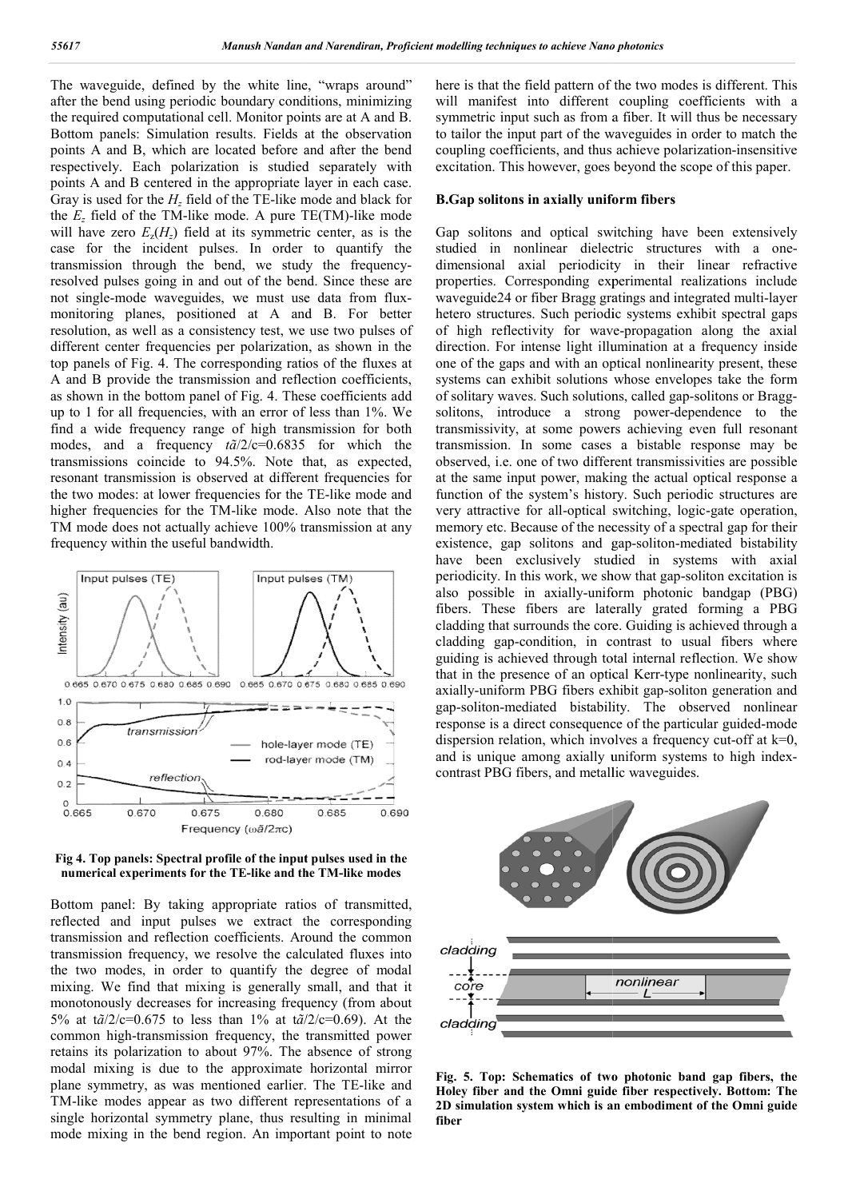The waveguide, defined by the white line, "wraps around" after the bend using periodic boundary conditions, minimizing the required computational cell. Monitor points are at A and B. Bottom panels: Simulation results. Fields at the observation points A and B, which are located before and after the bend respectively. Each polarization is studied separately with points A and B centered in the appropriate layer in each case. Gray is used for the *Hz* field of the TE-like mode and black for Gray is used for the  $H_z$  field of the TE-like mode and black for the  $E_z$  field of the TM-like mode. A pure TE(TM)-like mode will have zero  $E_z(H_z)$  field at its symmetric center, as is the case for the incident pulses. In order to quantify the transmission through the bend, we study the frequency frequencyresolved pulses going in and out of the bend. S Since these are not single-mode waveguides, we must use data from fluxmonitoring planes, positioned at A and B. For better resolution, as well as a consistency test, we use two pulses of different center frequencies per polarization, as shown in the top panels of Fig. 4. The corresponding ratios of the fluxes at A and B provide the transmission and reflection coefficients, as shown in the bottom panel of Fig. 4. These coefficients add up to 1 for all frequencies, with an error of less than 1%. We find a wide frequency range of high transmission for both modes, and a frequency *tã*/2/c=0.6835 for which the transmissions coincide to 94.5%. Note that, as expected, resonant transmission is observed at different frequencies for the two modes: at lower frequencies for the TE-like mode and higher frequencies for the TM-like mode. Also note that the TM mode does not actually achieve 100% transmission at any frequency within the useful bandwidth. e frequency range of high transmission for both<br>d a frequency  $t\tilde{a}/2/c=0.6835$  for which the<br>ns coincide to 94.5%. Note that, as expected,<br>ansmission is observed at different frequencies for<br>des: at lower frequencies fo





Bottom panel: By taking appropriate ratios of transmitted, reflected and input pulses we extract the corresponding transmission and reflection coefficients. Around the common transmission frequency, we resolve the calculated fluxes into the two modes, in order to quantify the degree of modal mixing. We find that mixing is generally small, and that it monotonously decreases for increasing frequency (from about 5% at  $t\tilde{a}/2/c=0.675$  to less than 1% at  $t\tilde{a}/2/c=0.69$ ). At the common high-transmission frequency, the transmitted power retains its polarization to about 97%. The absence of strong modal mixing is due to the approximate horizontal mirror plane symmetry, as was mentioned earlier. The TE-like and TM-like modes appear as two different representations of a single horizontal symmetry plane, thus resulting in minimal mode mixing in the bend region. An important point to note

will manifest into different coupling coefficients with a symmetric input such as from a fiber. It will thus be necessary to tailor the input part of the waveguides in order to match the coupling coefficients, and thus achieve polarization-insensitive coupling coefficients, and thus achieve polarization excitation. This however, goes beyond the scope of this paper. excitation. This paper.that the field pattern of the two modes is different. This aanifest into different coupling coefficients with a tric input such as from a fiber. It will thus be necessary

## **B.Gap solitons in axially unifo Gap in axially uniform fibers**

ymmetry is the solution of the two states is the basis in the two modes is different lines in the two modes is different lines of the two modes is different in the field pattern of the two modes is different in the two mo Gap solitons and optical switching have been extensively studied in nonlinear dielectric structures with a onedimensional axial periodicity in their linear refractive dimensional axial periodicity in their linear refractive properties. Corresponding experimental realizations include waveguide24 or fiber Bragg gratings and integrated multi-layer hetero structures. Such periodic systems exhibit spectral gaps of high reflectivity for wave-propagation along the axial of high reflectivity for wave-propagation along the axial direction. For intense light illumination at a frequency inside one of the gaps and with an optical nonlinearity present, these systems can exhibit solutions whose envelopes take the form one of the gaps and with an optical nonlinearity present, these systems can exhibit solutions whose envelopes take the form of solitary waves. Such solutions, called gap-solitons or Braggsolitons, introduce a strong power-dependence to the transmissivity, at some powers achieving even full resonant transmission. In some cases a bistable response may be transmission. In some cases a bistable response may be observed, i.e. one of two different transmissivities are possible at the same input power, making the actual optical response a at the same input power, making the actual optical response a function of the system's history. Such periodic structures are very attractive for all-optical switching, logic-gate operation, memory etc. Because of the necessity of a spectral gap for their memory etc. Because of the necessity of a spectral gap for their existence, gap solitons and gap-soliton-mediated bistability have been exclusively studied in systems with axial have been exclusively studied in systems with axial periodicity. In this work, we show that gap-soliton excitation is also possible in axially-uniform photonic bandgap (PBG) fibers. These fibers are laterally grated forming a PBG cladding that surrounds the core. Guiding is achieved through a cladding gap-condition, in contrast to usual fibers where guiding is achieved through total internal reflection. We show that in the presence of an optical Kerr axially-uniform PBG fibers exhibit gap-soliton generation and gap-soliton-mediated bistability. The observed nonlinear gap-soliton-mediated bistability. The observed nonlinear response is a direct consequence of the particular guided-mode dispersion relation, which involves a frequency cut-off at  $k=0$ , and is unique among axially uniform systems to high indexcontrast PBG fibers, and metallic waveguides. sible in axially-uniform photonic bandgap (PBG)<br>These fibers are laterally grated forming a PBG<br>that surrounds the core. Guiding is achieved through a<br>gap-condition, in contrast to usual fibers where<br>s achieved through tot



**Fig. 5. Top: Schematics of two photonic band gap fibers, the**  Fig. 5. Top: Schematics of two photonic band gap fibers, the **Holey fiber and the Omni guide** fiber respectively. Bottom: The **2D simulation system which is an embodiment of the Omni simulation guide fiber**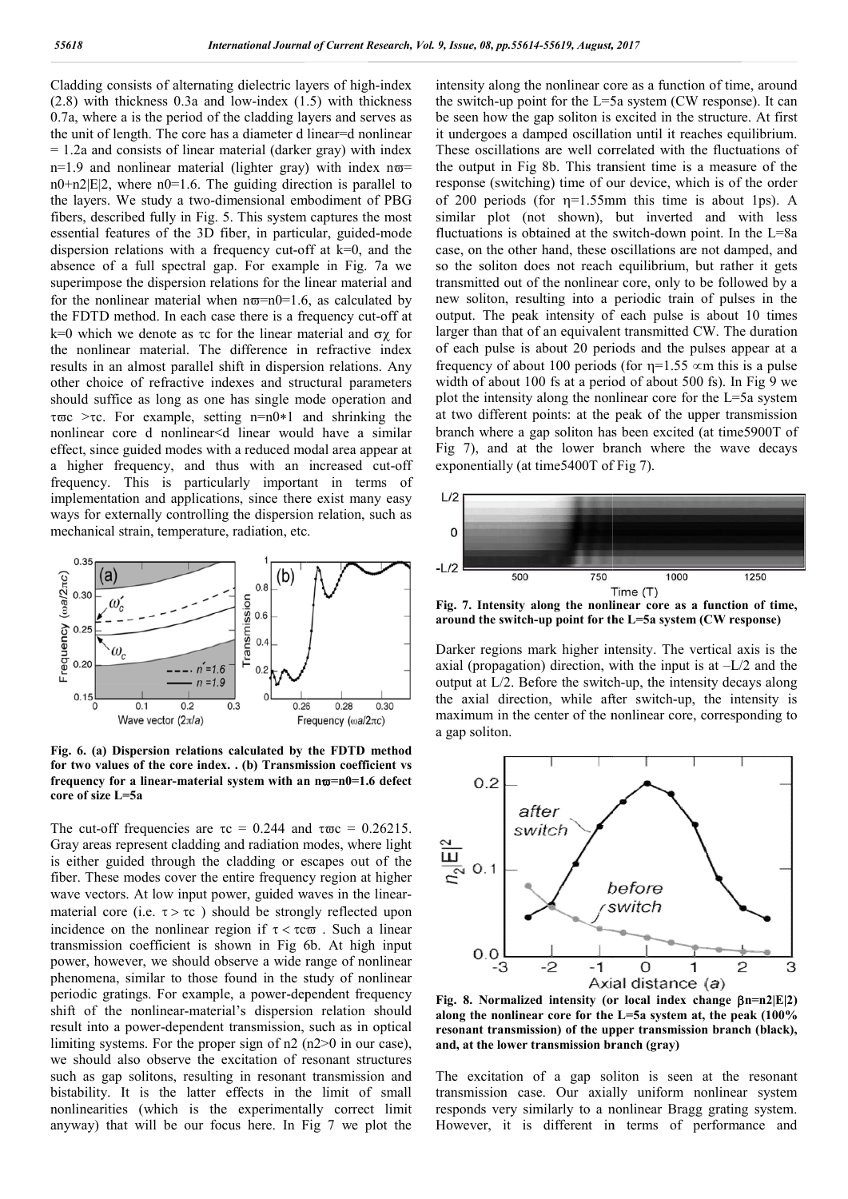Cladding consists of alternating dielectric layers of high-index (2.8) with thickness 0.3a and low-index (1.5) with thickness 0.7a, where a is the period of the cladding layers and serves as the unit of length. The core has a diameter d = 1.2a and consists of linear material (darker gray) with index f  $n=1.9$  and nonlinear material (lighter gray) with index  $n\overline{\omega}$  $n0+n2|E|2$ , where  $n0=1.6$ . The guiding direction is parallel to the layers. We study a two-dimensional embodiment of PBG fibers, described fully in Fig. 5. This system captures the most essential features of the 3D fiber, in particular, guided dispersion relations with a frequency cut-off at  $k=0$ , and the absence of a full spectral gap. For example in Fig. 7a we superimpose the dispersion relations for the linear material and for the nonlinear material when  $n\overline{\omega}=n0=1.6$ , as calculated by the FDTD method. In each case there is a frequency cut k=0 which we denote as  $\tau c$  for the linear material and  $\sigma \chi$  for the nonlinear material. The difference in refractive index results in an almost parallel shift in dispersion relations. Any other choice of refractive indexes and structural parameters should suffice as long as one has single mode operation and  $\tau \varpi c$  > $\tau c$ . For example, setting n=n0\*1 and shrinking the nonlinear core d nonlinear<d linear would have a similar effect, since guided modes with a reduced modal area appear at a higher frequency, and thus with an increased cut-off frequency. This is particularly important in terms of implementation and applications, since there exist many easy ways for externally controlling the dispersion relation, such as mechanical strain, temperature, radiation, etc. index (1.5) with thickness<br>adding layers and serves as<br>ameter d linear=d nonlinear dimensional embodiment of PBG<br>5. This system captures the most<br>fiber, in particular, guided-mode -off at  $k=0$ , and the<br>mple in Fig. 7a we<br>e linear material and<br>1.6, as calculated by<br>frequency cut-off at



**Fig. 6. (a) Dispersion relations calculated by the FDTD method for two values of the core index. . (b) Transmission coefficient vs frequency for a linear-material system with an nw=n0=1.6 defect core of size L=5a**

The cut-off frequencies are  $\tau c = 0.244$  and  $\tau \varpi c = 0.26215$ . Gray areas represent cladding and radiation modes, where light is either guided through the cladding or escapes out of the fiber. These modes cover the entire frequency region at higher wave vectors. At low input power, guided waves in the linearmaterial core (i.e.  $\tau > \tau c$ ) should be strongly reflected upon incidence on the nonlinear region if  $\tau < \tau$  c $\varpi$ . Such a linear transmission coefficient is shown in Fig 6b. At high input power, however, we should observe a wide range of nonlinear phenomena, similar to those found in the study of nonlinear periodic gratings. For example, a power-dependent frequency shift of the nonlinear-material's dispersion relation should result into a power-dependent transmission, such as in optical limiting systems. For the proper sign of n2 (n2>0 in our case), we should also observe the excitation of resonant structu such as gap solitons, resulting in resonant transmission and bistability. It is the latter effects in the limit of small nonlinearities (which is the experimentally correct limit anyway) that will be our focus here. In Fig 7 we plot the ear-material's dispersion relation should<br>dependent transmission, such as in optical<br>or the proper sign of n2 (n2>0 in our case),<br>serve the excitation of resonant structures intensity along the nonlinear core as a function of time, around the switch-up point for the L=5a system (CW response). It can be seen how the gap soliton is excited in the structure. At first it undergoes a damped oscillation until it reaches equilibrium. These oscillations are well correlated with the fluctuations of the output in Fig 8b. This transient time is a measure of the response (switching) time of our device, which is of the order of 200 periods (for  $\eta$ =1.55mm this time is about 1ps). A the switch-up point for the L=5a system (CW response). It can<br>be seen how the gap soliton is excited in the structure. At first<br>it undergoes a damped oscillation until it reaches equilibrium.<br>These oscillations are well c fluctuations is obtained at the switch-down point. In the  $L=8a$ case, on the other hand, these oscillations are not damped, and so the soliton does not reach equilibrium, but rather it gets case, on the other hand, these oscillations are not damped, and so the soliton does not reach equilibrium, but rather it gets transmitted out of the nonlinear core, only to be followed by a new soliton, resulting into a periodic train of pulses in the output. The peak intensity of each pulse is about 10 times larger than that of an equivalent transmitted CW. The duration new soliton, resulting into a periodic train of pulses in the output. The peak intensity of each pulse is about 10 times larger than that of an equivalent transmitted CW. The duration of each pulse is about 20 periods and frequency of about 100 periods (for  $\eta$ =1.55  $\infty$ m this is a pulse width of about 100 fs at a period of about 500 fs). In Fig 9 we plot the intensity along the nonlinear core for the L=5a system at two different points: at the peak of the upper branch where a gap soliton has been excited (at time5900T of Fig 7), and at the lower branch where the wave decays exponentially (at time  $5400T$  of Fig 7). exponentially (at time $5400T$  of Fig 7). dth of about 100 fs at a period of about 500 fs). In Fig 9 we<br>of the intensity along the nonlinear core for the L=5a system<br>two different points: at the peak of the upper transmission 57.2017<br>
core as a function of time, around<br>
57.30 system (CW response). It can<br>
55 system (CW response). It can<br>
its excited in the structure. At first<br>
aron antion until it reaches equilibrium.<br>
orrelated with the fluc



**Fig. 7. Intensity along the nonlinear core as a function of time,**  Fig. 7. Intensity along the nonlinear core as a function of time, around the switch-up point for the L=5a system (CW response)

Darker regions mark higher intensity. The vertical axis is the Darker regions mark higher intensity. The vertical axis is the axial (propagation) direction, with the input is at  $-L/2$  and the output at  $L/2$ . Before the switch-up, the intensity decays along the axial direction, while after switch-up, the intensity is maximum in the center of the nonlinear core, corresponding to a gap soliton.



Fig. 8. Normalized intensity (or local index change  $\beta$ n=n2|E|2) **along the nonlinear core for the L=5a system at, the peak (100% resonant transmission) of the upper transmission branch (black), and, at the lower transmission branch (gray) nonlinear core for the L=5a system at, the peak (100% ransmission) of the upper transmission branch (black),<br>elower transmission branch (gray)** 

The excitation of a gap soliton is seen at the resonant transmission case. Our axially uniform nonlinear system responds very similarly to a nonlinear Bragg grating system. However, it is different in terms of performance and tation of a gap soliton is seen at the resonant<br>ion case. Our axially uniform nonlinear system<br>very similarly to a nonlinear Bragg grating system.